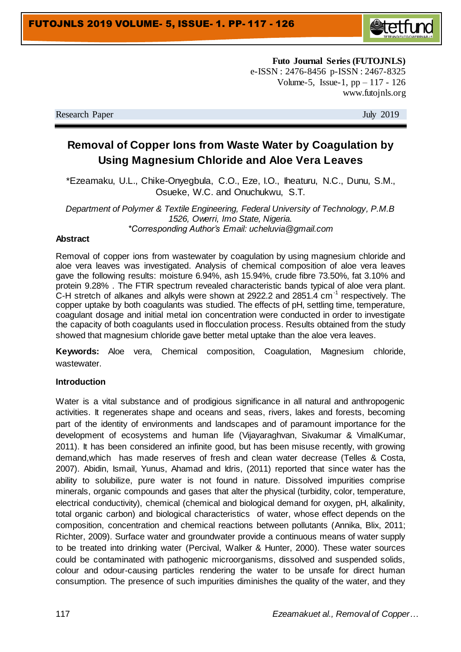

**Futo Journal Series (FUTOJNLS)** e-ISSN : 2476-8456 p-ISSN : 2467-8325 Volume-5, Issue-1,  $pp - 117 - 126$ www.futojnls.org

Research Paper July 2019

# **Removal of Copper Ions from Waste Water by Coagulation by Using Magnesium Chloride and Aloe Vera Leaves**

\*Ezeamaku, U.L., Chike-Onyegbula, C.O., Eze, I.O., Iheaturu, N.C., Dunu, S.M., Osueke, W.C. and Onuchukwu, S.T.

*Department of Polymer & Textile Engineering, Federal University of Technology, P.M.B 1526, Owerri, Imo State, Nigeria. \*Corresponding Author's Email: ucheluvia@gmail.com*

#### **Abstract**

Removal of copper ions from wastewater by coagulation by using magnesium chloride and aloe vera leaves was investigated. Analysis of chemical composition of aloe vera leaves gave the following results: moisture 6.94%, ash 15.94%, crude fibre 73.50%, fat 3.10% and protein 9.28% . The FTIR spectrum revealed characteristic bands typical of aloe vera plant. C-H stretch of alkanes and alkyls were shown at 2922.2 and 2851.4  $cm^{-1}$  respectively. The copper uptake by both coagulants was studied. The effects of pH, settling time, temperature, coagulant dosage and initial metal ion concentration were conducted in order to investigate the capacity of both coagulants used in flocculation process. Results obtained from the study showed that magnesium chloride gave better metal uptake than the aloe vera leaves.

**Keywords:** Aloe vera, Chemical composition, Coagulation, Magnesium chloride, wastewater.

#### **Introduction**

Water is a vital substance and of prodigious significance in all natural and anthropogenic activities. It regenerates shape and oceans and seas, rivers, lakes and forests, becoming part of the identity of environments and landscapes and of paramount importance for the development of ecosystems and human life (Vijayaraghvan, Sivakumar & VimalKumar, 2011). It has been considered an infinite good, but has been misuse recently, with growing demand,which has made reserves of fresh and clean water decrease (Telles & Costa, 2007). Abidin, Ismail, Yunus, Ahamad and Idris, (2011) reported that since water has the ability to solubilize, pure water is not found in nature. Dissolved impurities comprise minerals, organic compounds and gases that alter the physical (turbidity, color, temperature, electrical conductivity), chemical (chemical and biological demand for oxygen, pH, alkalinity, total organic carbon) and biological characteristics of water, whose effect depends on the composition, concentration and chemical reactions between pollutants (Annika, Blix, 2011; Richter, 2009). Surface water and groundwater provide a continuous means of water supply to be treated into drinking water (Percival, Walker & Hunter, 2000). These water sources could be contaminated with pathogenic microorganisms, dissolved and suspended solids, colour and odour-causing particles rendering the water to be unsafe for direct human consumption. The presence of such impurities diminishes the quality of the water, and they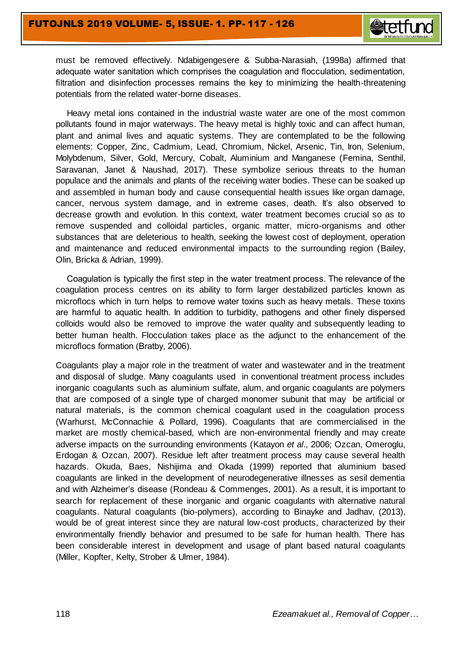

must be removed effectively. Ndabigengesere & Subba-Narasiah, (1998a) affirmed that adequate water sanitation which comprises the coagulation and flocculation, sedimentation, filtration and disinfection processes remains the key to minimizing the health-threatening potentials from the related water-borne diseases.

Heavy metal ions contained in the industrial waste water are one of the most common pollutants found in major waterways. The heavy metal is highly toxic and can affect human, plant and animal lives and aquatic systems. They are contemplated to be the following elements: Copper, Zinc, Cadmium, Lead, Chromium, Nickel, Arsenic, Tin, Iron, Selenium, Molybdenum, Silver, Gold, Mercury, Cobalt, Aluminium and Manganese (Femina, Senthil, Saravanan, Janet & Naushad, 2017). These symbolize serious threats to the human populace and the animals and plants of the receiving water bodies. These can be soaked up and assembled in human body and cause consequential health issues like organ damage, cancer, nervous system damage, and in extreme cases, death. It's also observed to decrease growth and evolution. In this context, water treatment becomes crucial so as to remove suspended and colloidal particles, organic matter, micro-organisms and other substances that are deleterious to health, seeking the lowest cost of deployment, operation and maintenance and reduced environmental impacts to the surrounding region (Bailey, Olin, Bricka & Adrian, 1999).

Coagulation is typically the first step in the water treatment process. The relevance of the coagulation process centres on its ability to form larger destabilized particles known as microflocs which in turn helps to remove water toxins such as heavy metals. These toxins are harmful to aquatic health. In addition to turbidity, pathogens and other finely dispersed colloids would also be removed to improve the water quality and subsequently leading to better human health. Flocculation takes place as the adjunct to the enhancement of the microflocs formation (Bratby, 2006).

Coagulants play a major role in the treatment of water and wastewater and in the treatment and disposal of sludge. Many coagulants used in conventional treatment process includes inorganic coagulants such as aluminium sulfate, alum, and organic coagulants are polymers that are composed of a single type of charged monomer subunit that may be artificial or natural materials, is the common chemical coagulant used in the coagulation process (Warhurst, McConnachie & Pollard, 1996). Coagulants that are commercialised in the market are mostly chemical-based, which are non-environmental friendly and may create adverse impacts on the surrounding environments (Katayon *et al*., 2006; Ozcan, Omeroglu, Erdogan & Ozcan, 2007). Residue left after treatment process may cause several health hazards. Okuda, Baes, Nishijima and Okada (1999) reported that aluminium based coagulants are linked in the development of neurodegenerative illnesses as sesil dementia and with Alzheimer's disease (Rondeau & Commenges, 2001). As a result, it is important to search for replacement of these inorganic and organic coagulants with alternative natural coagulants. Natural coagulants (bio-polymers), according to Binayke and Jadhav, (2013), would be of great interest since they are natural low-cost products, characterized by their environmentally friendly behavior and presumed to be safe for human health. There has been considerable interest in development and usage of plant based natural coagulants (Miller, Kopfter, Kelty, Strober & Ulmer, 1984).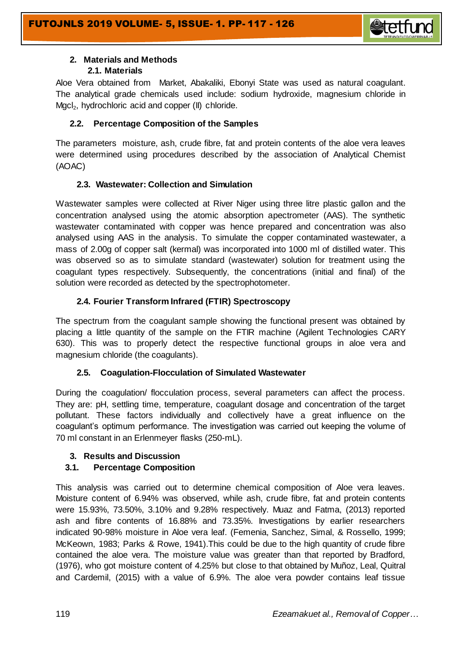

#### **2. Materials and Methods 2.1. Materials**

Aloe Vera obtained from Market, Abakaliki, Ebonyi State was used as natural coagulant. The analytical grade chemicals used include: sodium hydroxide, magnesium chloride in Mgcl<sub>2</sub>, hydrochloric acid and copper (II) chloride.

# **2.2. Percentage Composition of the Samples**

The parameters moisture, ash, crude fibre, fat and protein contents of the aloe vera leaves were determined using procedures described by the association of Analytical Chemist (AOAC)

# **2.3. Wastewater: Collection and Simulation**

Wastewater samples were collected at River Niger using three litre plastic gallon and the concentration analysed using the atomic absorption apectrometer (AAS). The synthetic wastewater contaminated with copper was hence prepared and concentration was also analysed using AAS in the analysis. To simulate the copper contaminated wastewater, a mass of 2.00g of copper salt (kermal) was incorporated into 1000 ml of distilled water. This was observed so as to simulate standard (wastewater) solution for treatment using the coagulant types respectively. Subsequently, the concentrations (initial and final) of the solution were recorded as detected by the spectrophotometer.

# **2.4. Fourier Transform Infrared (FTIR) Spectroscopy**

The spectrum from the coagulant sample showing the functional present was obtained by placing a little quantity of the sample on the FTIR machine (Agilent Technologies CARY 630). This was to properly detect the respective functional groups in aloe vera and magnesium chloride (the coagulants).

## **2.5. Coagulation-Flocculation of Simulated Wastewater**

During the coagulation/ flocculation process, several parameters can affect the process. They are: pH, settling time, temperature, coagulant dosage and concentration of the target pollutant. These factors individually and collectively have a great influence on the coagulant's optimum performance. The investigation was carried out keeping the volume of 70 ml constant in an Erlenmeyer flasks (250-mL).

## **3. Results and Discussion**

# **3.1. Percentage Composition**

This analysis was carried out to determine chemical composition of Aloe vera leaves. Moisture content of 6.94% was observed, while ash, crude fibre, fat and protein contents were 15.93%, 73.50%, 3.10% and 9.28% respectively. Muaz and Fatma, (2013) reported ash and fibre contents of 16.88% and 73.35%. Investigations by earlier researchers indicated 90-98% moisture in Aloe vera leaf. (Femenia, Sanchez, Simal, & Rossello, 1999; McKeown, 1983; Parks & Rowe, 1941).This could be due to the high quantity of crude fibre contained the aloe vera. The moisture value was greater than that reported by Bradford, (1976), who got moisture content of 4.25% but close to that obtained by Muñoz, Leal, Quitral and Cardemil, (2015) with a value of 6.9%. The aloe vera powder contains leaf tissue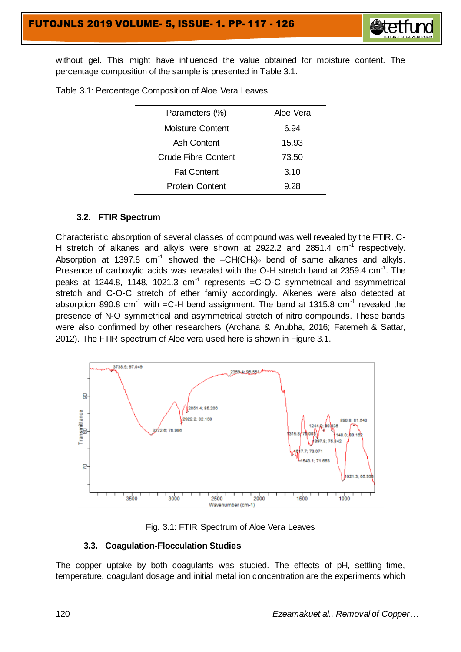

without gel. This might have influenced the value obtained for moisture content. The percentage composition of the sample is presented in Table 3.1.

| Aloe Vera                    |
|------------------------------|
| 6.94                         |
| 15.93                        |
| Crude Fibre Content<br>73.50 |
| 3.10                         |
| 9.28                         |
|                              |

Table 3.1: Percentage Composition of Aloe Vera Leaves

#### **3.2. FTIR Spectrum**

Characteristic absorption of several classes of compound was well revealed by the FTIR. C-H stretch of alkanes and alkyls were shown at 2922.2 and 2851.4  $cm^{-1}$  respectively. Absorption at 1397.8  $cm^{-1}$  showed the  $-CH(CH_3)_2$  bend of same alkanes and alkyls. Presence of carboxylic acids was revealed with the O-H stretch band at 2359.4 cm $^{-1}$ . The peaks at 1244.8, 1148, 1021.3  $cm^{-1}$  represents =C-O-C symmetrical and asymmetrical stretch and C-O-C stretch of ether family accordingly. Alkenes were also detected at absorption 890.8 cm<sup>-1</sup> with =C-H bend assignment. The band at 1315.8 cm<sup>-1</sup> revealed the presence of N-O symmetrical and asymmetrical stretch of nitro compounds. These bands were also confirmed by other researchers (Archana & Anubha, 2016; Fatemeh & Sattar, 2012). The FTIR spectrum of Aloe vera used here is shown in Figure 3.1.





#### **3.3. Coagulation-Flocculation Studies**

The copper uptake by both coagulants was studied. The effects of pH, settling time, temperature, coagulant dosage and initial metal ion concentration are the experiments which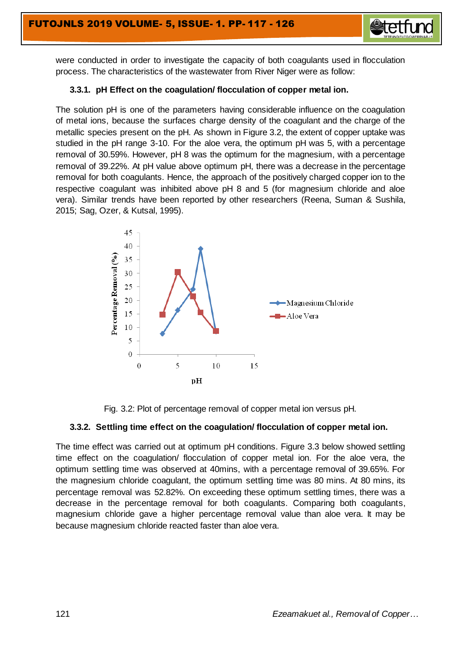

were conducted in order to investigate the capacity of both coagulants used in flocculation process. The characteristics of the wastewater from River Niger were as follow:

#### **3.3.1. pH Effect on the coagulation/ flocculation of copper metal ion.**

The solution pH is one of the parameters having considerable influence on the coagulation of metal ions, because the surfaces charge density of the coagulant and the charge of the metallic species present on the pH. As shown in Figure 3.2, the extent of copper uptake was studied in the pH range 3-10. For the aloe vera, the optimum pH was 5, with a percentage removal of 30.59%. However, pH 8 was the optimum for the magnesium, with a percentage removal of 39.22%. At pH value above optimum pH, there was a decrease in the percentage removal for both coagulants. Hence, the approach of the positively charged copper ion to the respective coagulant was inhibited above pH 8 and 5 (for magnesium chloride and aloe vera). Similar trends have been reported by other researchers (Reena, Suman & Sushila, 2015; Sag, Ozer, & Kutsal, 1995).





#### **3.3.2. Settling time effect on the coagulation/ flocculation of copper metal ion.**

The time effect was carried out at optimum pH conditions. Figure 3.3 below showed settling time effect on the coagulation/ flocculation of copper metal ion. For the aloe vera, the optimum settling time was observed at 40mins, with a percentage removal of 39.65%. For the magnesium chloride coagulant, the optimum settling time was 80 mins. At 80 mins, its percentage removal was 52.82%. On exceeding these optimum settling times, there was a decrease in the percentage removal for both coagulants. Comparing both coagulants, magnesium chloride gave a higher percentage removal value than aloe vera. It may be because magnesium chloride reacted faster than aloe vera.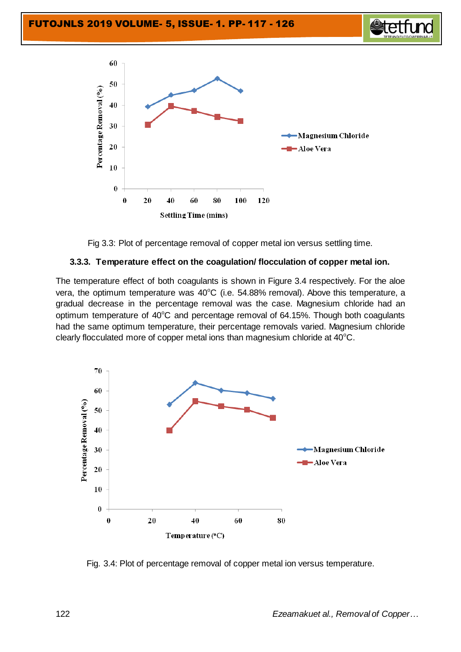





Fig 3.3: Plot of percentage removal of copper metal ion versus settling time.

#### **3.3.3. Temperature effect on the coagulation/ flocculation of copper metal ion.**

The temperature effect of both coagulants is shown in Figure 3.4 respectively. For the aloe vera, the optimum temperature was  $40^{\circ}$ C (i.e. 54.88% removal). Above this temperature, a gradual decrease in the percentage removal was the case. Magnesium chloride had an optimum temperature of  $40^{\circ}$ C and percentage removal of 64.15%. Though both coagulants had the same optimum temperature, their percentage removals varied. Magnesium chloride clearly flocculated more of copper metal ions than magnesium chloride at  $40^{\circ}$ C.



Fig. 3.4: Plot of percentage removal of copper metal ion versus temperature.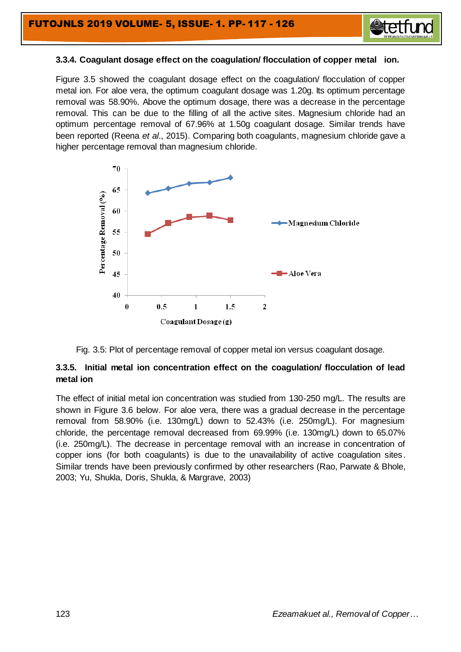

#### **3.3.4. Coagulant dosage effect on the coagulation/ flocculation of copper metal ion.**

Figure 3.5 showed the coagulant dosage effect on the coagulation/ flocculation of copper metal ion. For aloe vera, the optimum coagulant dosage was 1.20g. Its optimum percentage removal was 58.90%. Above the optimum dosage, there was a decrease in the percentage removal. This can be due to the filling of all the active sites. Magnesium chloride had an optimum percentage removal of 67.96% at 1.50g coagulant dosage. Similar trends have been reported (Reena *et al*., 2015). Comparing both coagulants, magnesium chloride gave a higher percentage removal than magnesium chloride.





## **3.3.5. Initial metal ion concentration effect on the coagulation/ flocculation of lead metal ion**

The effect of initial metal ion concentration was studied from 130-250 mg/L. The results are shown in Figure 3.6 below. For aloe vera, there was a gradual decrease in the percentage removal from 58.90% (i.e. 130mg/L) down to 52.43% (i.e. 250mg/L). For magnesium chloride, the percentage removal decreased from 69.99% (i.e. 130mg/L) down to 65.07% (i.e. 250mg/L). The decrease in percentage removal with an increase in concentration of copper ions (for both coagulants) is due to the unavailability of active coagulation sites. Similar trends have been previously confirmed by other researchers (Rao, Parwate & Bhole, 2003; Yu, Shukla, Doris, Shukla, & Margrave, 2003)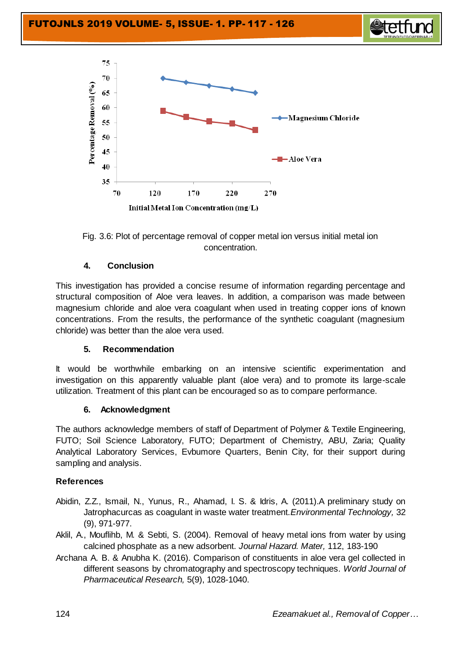





Fig. 3.6: Plot of percentage removal of copper metal ion versus initial metal ion concentration.

# **4. Conclusion**

This investigation has provided a concise resume of information regarding percentage and structural composition of Aloe vera leaves. In addition, a comparison was made between magnesium chloride and aloe vera coagulant when used in treating copper ions of known concentrations. From the results, the performance of the synthetic coagulant (magnesium chloride) was better than the aloe vera used.

## **5. Recommendation**

It would be worthwhile embarking on an intensive scientific experimentation and investigation on this apparently valuable plant (aloe vera) and to promote its large-scale utilization. Treatment of this plant can be encouraged so as to compare performance.

#### **6. Acknowledgment**

The authors acknowledge members of staff of Department of Polymer & Textile Engineering, FUTO; Soil Science Laboratory, FUTO; Department of Chemistry, ABU, Zaria; Quality Analytical Laboratory Services, Evbumore Quarters, Benin City, for their support during sampling and analysis.

## **References**

- Abidin, Z.Z., Ismail, N., Yunus, R., Ahamad, I. S. & Idris, A. (2011).A preliminary study on Jatrophacurcas as coagulant in waste water treatment.*Environmental Technology,* 32 (9), 971-977.
- Aklil, A., Mouflihb, M. & Sebti, S. (2004). Removal of heavy metal ions from water by using calcined phosphate as a new adsorbent. *Journal Hazard. Mater,* 112, 183-190
- Archana A. B. & Anubha K. (2016). Comparison of constituents in aloe vera gel collected in different seasons by chromatography and spectroscopy techniques. *World Journal of Pharmaceutical Research,* 5(9), 1028-1040.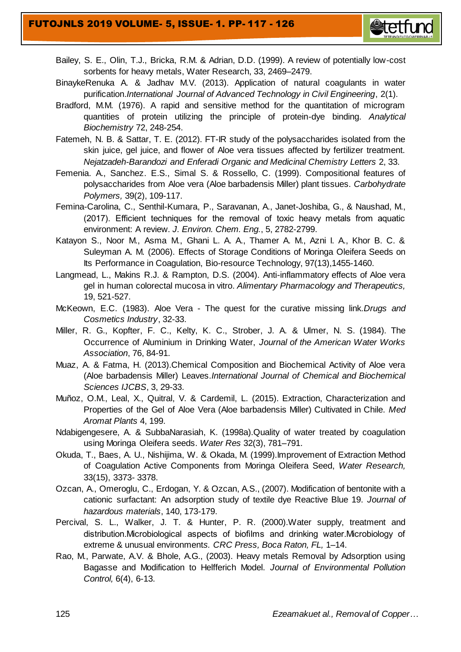## FUTOJNLS 2019 VOLUME- 5, ISSUE- 1. PP- 117 - 126



- Bailey, S. E., Olin, T.J., Bricka, R.M. & Adrian, D.D. (1999). A review of potentially low-cost sorbents for heavy metals, Water Research, 33, 2469–2479.
- BinaykeRenuka A. & Jadhav M.V. (2013). Application of natural coagulants in water purification.*International Journal of Advanced Technology in Civil Engineering*, 2(1).
- Bradford, M.M. (1976). A rapid and sensitive method for the quantitation of microgram quantities of protein utilizing the principle of protein-dye binding. *Analytical Biochemistry* 72, 248-254.
- Fatemeh, N. B. & Sattar, T. E. (2012). FT-IR study of the polysaccharides isolated from the skin juice, gel juice, and flower of Aloe vera tissues affected by fertilizer treatment. *Nejatzadeh-Barandozi and Enferadi Organic and Medicinal Chemistry Letters* 2, 33.
- Femenia. A., Sanchez. E.S., Simal S. & Rossello, C. (1999). Compositional features of polysaccharides from Aloe vera (Aloe barbadensis Miller) plant tissues. *Carbohydrate Polymers,* 39(2), 109-117.
- Femina-Carolina, C., Senthil-Kumara, P., Saravanan, A., Janet-Joshiba, G., & Naushad, M., (2017). Efficient techniques for the removal of toxic heavy metals from aquatic environment: A review. *J. Environ. Chem. Eng.*, 5, 2782-2799.
- Katayon S., Noor M., Asma M., Ghani L. A. A., Thamer A. M., Azni I. A., Khor B. C. & Suleyman A. M. (2006). Effects of Storage Conditions of Moringa Oleifera Seeds on Its Performance in Coagulation, Bio-resource Technology, 97(13),1455-1460.
- Langmead, L., Makins R.J. & Rampton, D.S. (2004). Anti-inflammatory effects of Aloe vera gel in human colorectal mucosa in vitro. *Alimentary Pharmacology and Therapeutics,*  19, 521-527.
- McKeown, E.C. (1983). Aloe Vera The quest for the curative missing link.*Drugs and Cosmetics Industry*, 32-33.
- Miller, R. G., Kopfter, F. C., Kelty, K. C., Strober, J. A. & Ulmer, N. S. (1984). The Occurrence of Aluminium in Drinking Water, *Journal of the American Water Works Association*, 76, 84-91.
- Muaz, A. & Fatma, H. (2013).Chemical Composition and Biochemical Activity of Aloe vera (Aloe barbadensis Miller) Leaves.*International Journal of Chemical and Biochemical Sciences IJCBS*, 3, 29-33.
- Muñoz, O.M., Leal, X., Quitral, V. & Cardemil, L. (2015). Extraction, Characterization and Properties of the Gel of Aloe Vera (Aloe barbadensis Miller) Cultivated in Chile. *Med Aromat Plants* 4, 199.
- Ndabigengesere, A. & SubbaNarasiah, K. (1998a).Quality of water treated by coagulation using Moringa Oleifera seeds. *Water Res* 32(3), 781–791.
- Okuda, T., Baes, A. U., Nishijima, W. & Okada, M. (1999).Improvement of Extraction Method of Coagulation Active Components from Moringa Oleifera Seed, *Water Research,* 33(15), 3373- 3378.
- Ozcan, A., Omeroglu, C., Erdogan, Y. & Ozcan, A.S., (2007). Modification of bentonite with a cationic surfactant: An adsorption study of textile dye Reactive Blue 19. *Journal of hazardous materials*, 140, 173-179.
- Percival, S. L., Walker, J. T. & Hunter, P. R. (2000).Water supply, treatment and distribution.Microbiological aspects of biofilms and drinking water.Microbiology of extreme & unusual environment*s. CRC Press, Boca Raton, FL,* 1–14.
- Rao, M., Parwate, A.V. & Bhole, A.G., (2003). Heavy metals Removal by Adsorption using Bagasse and Modification to Helfferich Model. *Journal of Environmental Pollution Control,* 6(4), 6-13.